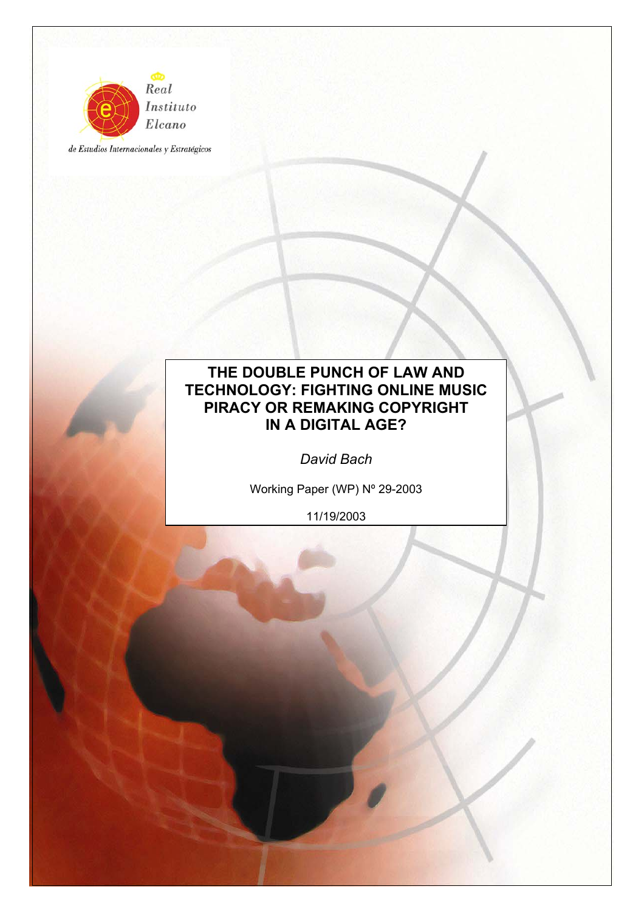

de Estudios Internacionales y Estratégicos

# **THE DOUBLE PUNCH OF LAW AND TECHNOLOGY: FIGHTING ONLINE MUSIC PIRACY OR REMAKING COPYRIGHT IN A DIGITAL AGE?**

*David Bach* 

Working Paper (WP) Nº 29-2003

11/19/2003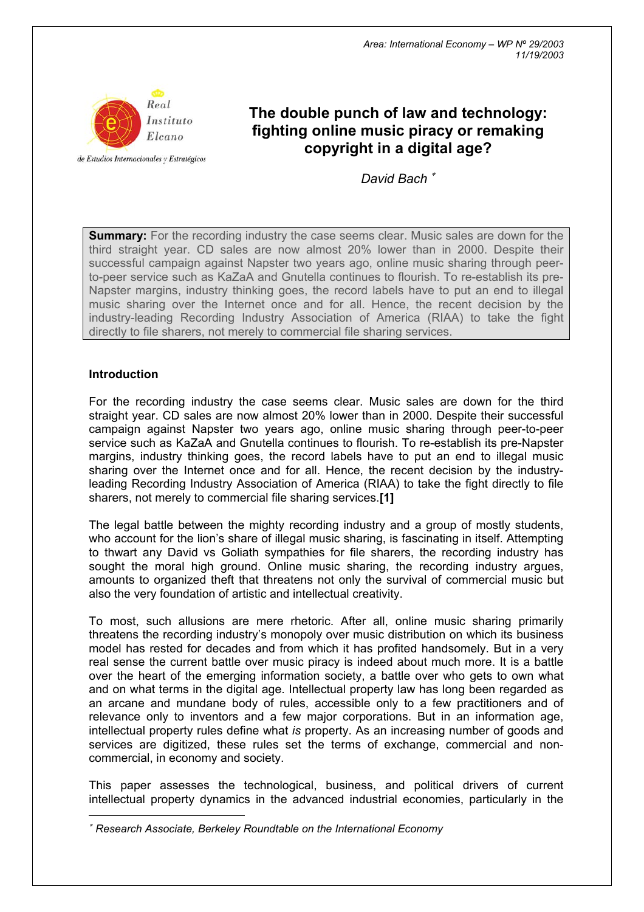

de Estudios Internacionales y Estratégicos

# **The double punch of law and technology: fighting online music piracy or remaking copyright in a digital age?**

*David Bach* <sup>∗</sup>

**Summary:** For the recording industry the case seems clear. Music sales are down for the third straight year. CD sales are now almost 20% lower than in 2000. Despite their successful campaign against Napster two years ago, online music sharing through peerto-peer service such as KaZaA and Gnutella continues to flourish. To re-establish its pre-Napster margins, industry thinking goes, the record labels have to put an end to illegal music sharing over the Internet once and for all. Hence, the recent decision by the industry-leading Recording Industry Association of America (RIAA) to take the fight directly to file sharers, not merely to commercial file sharing services.

## **Introduction**

 $\overline{a}$ 

For the recording industry the case seems clear. Music sales are down for the third straight year. CD sales are now almost 20% lower than in 2000. Despite their successful campaign against Napster two years ago, online music sharing through peer-to-peer service such as KaZaA and Gnutella continues to flourish. To re-establish its pre-Napster margins, industry thinking goes, the record labels have to put an end to illegal music sharing over the Internet once and for all. Hence, the recent decision by the industryleading Recording Industry Association of America (RIAA) to take the fight directly to file sharers, not merely to commercial file sharing services.**[\[1\]](http://www.realinstitutoelcano.org/documentos/70.asp)**

The legal battle between the mighty recording industry and a group of mostly students, who account for the lion's share of illegal music sharing, is fascinating in itself. Attempting to thwart any David vs Goliath sympathies for file sharers, the recording industry has sought the moral high ground. Online music sharing, the recording industry argues, amounts to organized theft that threatens not only the survival of commercial music but also the very foundation of artistic and intellectual creativity.

To most, such allusions are mere rhetoric. After all, online music sharing primarily threatens the recording industry's monopoly over music distribution on which its business model has rested for decades and from which it has profited handsomely. But in a very real sense the current battle over music piracy is indeed about much more. It is a battle over the heart of the emerging information society, a battle over who gets to own what and on what terms in the digital age. Intellectual property law has long been regarded as an arcane and mundane body of rules, accessible only to a few practitioners and of relevance only to inventors and a few major corporations. But in an information age, intellectual property rules define what *is* property. As an increasing number of goods and services are digitized, these rules set the terms of exchange, commercial and noncommercial, in economy and society.

This paper assesses the technological, business, and political drivers of current intellectual property dynamics in the advanced industrial economies, particularly in the

<sup>∗</sup> *Research Associate, Berkeley Roundtable on the International Economy*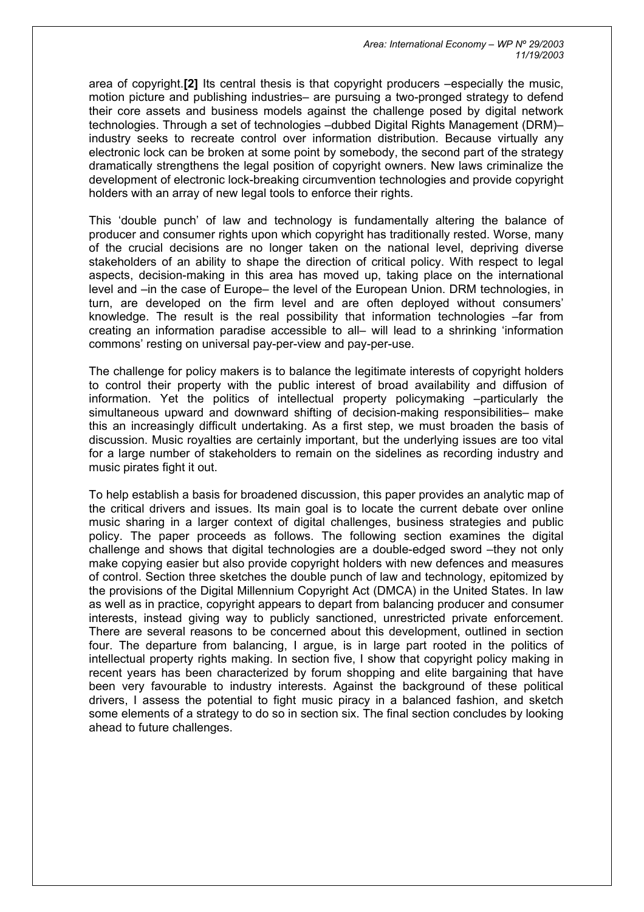area of copyright.**[\[2\]](http://www.realinstitutoelcano.org/documentos/70.asp)** Its central thesis is that copyright producers –especially the music, motion picture and publishing industries– are pursuing a two-pronged strategy to defend their core assets and business models against the challenge posed by digital network technologies. Through a set of technologies –dubbed Digital Rights Management (DRM)– industry seeks to recreate control over information distribution. Because virtually any electronic lock can be broken at some point by somebody, the second part of the strategy dramatically strengthens the legal position of copyright owners. New laws criminalize the development of electronic lock-breaking circumvention technologies and provide copyright holders with an array of new legal tools to enforce their rights.

This 'double punch' of law and technology is fundamentally altering the balance of producer and consumer rights upon which copyright has traditionally rested. Worse, many of the crucial decisions are no longer taken on the national level, depriving diverse stakeholders of an ability to shape the direction of critical policy. With respect to legal aspects, decision-making in this area has moved up, taking place on the international level and –in the case of Europe– the level of the European Union. DRM technologies, in turn, are developed on the firm level and are often deployed without consumers' knowledge. The result is the real possibility that information technologies –far from creating an information paradise accessible to all– will lead to a shrinking 'information commons' resting on universal pay-per-view and pay-per-use.

The challenge for policy makers is to balance the legitimate interests of copyright holders to control their property with the public interest of broad availability and diffusion of information. Yet the politics of intellectual property policymaking –particularly the simultaneous upward and downward shifting of decision-making responsibilities– make this an increasingly difficult undertaking. As a first step, we must broaden the basis of discussion. Music royalties are certainly important, but the underlying issues are too vital for a large number of stakeholders to remain on the sidelines as recording industry and music pirates fight it out.

To help establish a basis for broadened discussion, this paper provides an analytic map of the critical drivers and issues. Its main goal is to locate the current debate over online music sharing in a larger context of digital challenges, business strategies and public policy. The paper proceeds as follows. The following section examines the digital challenge and shows that digital technologies are a double-edged sword –they not only make copying easier but also provide copyright holders with new defences and measures of control. Section three sketches the double punch of law and technology, epitomized by the provisions of the Digital Millennium Copyright Act (DMCA) in the United States. In law as well as in practice, copyright appears to depart from balancing producer and consumer interests, instead giving way to publicly sanctioned, unrestricted private enforcement. There are several reasons to be concerned about this development, outlined in section four. The departure from balancing, I argue, is in large part rooted in the politics of intellectual property rights making. In section five, I show that copyright policy making in recent years has been characterized by forum shopping and elite bargaining that have been very favourable to industry interests. Against the background of these political drivers, I assess the potential to fight music piracy in a balanced fashion, and sketch some elements of a strategy to do so in section six. The final section concludes by looking ahead to future challenges.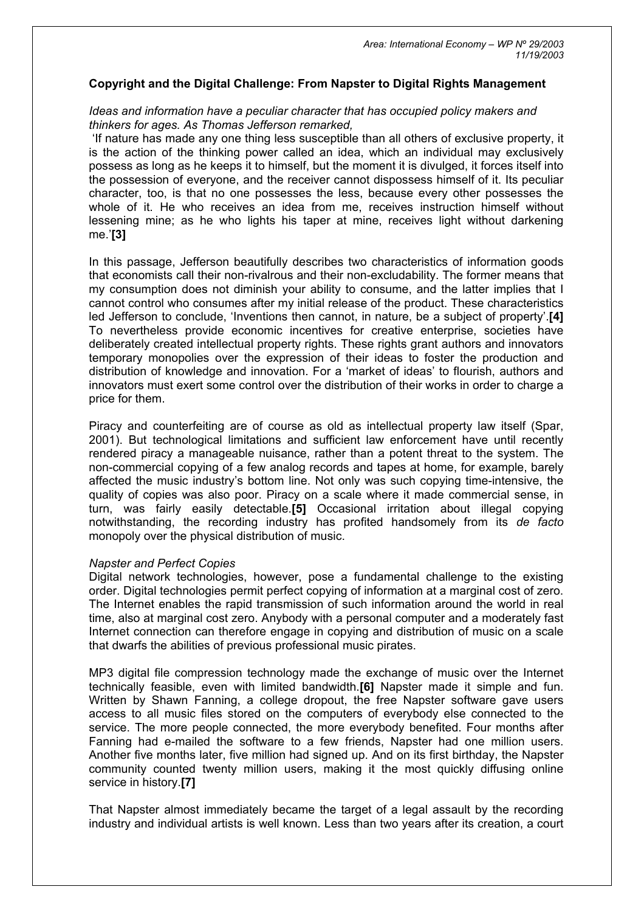#### **Copyright and the Digital Challenge: From Napster to Digital Rights Management**

## *Ideas and information have a peculiar character that has occupied policy makers and thinkers for ages. As Thomas Jefferson remarked,*

'If nature has made any one thing less susceptible than all others of exclusive property, it is the action of the thinking power called an idea, which an individual may exclusively possess as long as he keeps it to himself, but the moment it is divulged, it forces itself into the possession of everyone, and the receiver cannot dispossess himself of it. Its peculiar character, too, is that no one possesses the less, because every other possesses the whole of it. He who receives an idea from me, receives instruction himself without lessening mine; as he who lights his taper at mine, receives light without darkening me.'**[\[3\]](http://www.realinstitutoelcano.org/documentos/70.asp)**

In this passage, Jefferson beautifully describes two characteristics of information goods that economists call their non-rivalrous and their non-excludability. The former means that my consumption does not diminish your ability to consume, and the latter implies that I cannot control who consumes after my initial release of the product. These characteristics led Jefferson to conclude, 'Inventions then cannot, in nature, be a subject of property'.**[\[4\]](http://www.realinstitutoelcano.org/documentos/70.asp)** To nevertheless provide economic incentives for creative enterprise, societies have deliberately created intellectual property rights. These rights grant authors and innovators temporary monopolies over the expression of their ideas to foster the production and distribution of knowledge and innovation. For a 'market of ideas' to flourish, authors and innovators must exert some control over the distribution of their works in order to charge a price for them.

Piracy and counterfeiting are of course as old as intellectual property law itself (Spar, 2001). But technological limitations and sufficient law enforcement have until recently rendered piracy a manageable nuisance, rather than a potent threat to the system. The non-commercial copying of a few analog records and tapes at home, for example, barely affected the music industry's bottom line. Not only was such copying time-intensive, the quality of copies was also poor. Piracy on a scale where it made commercial sense, in turn, was fairly easily detectable.**[\[5\]](http://www.realinstitutoelcano.org/documentos/70.asp)** Occasional irritation about illegal copying notwithstanding, the recording industry has profited handsomely from its *de facto* monopoly over the physical distribution of music.

#### *Napster and Perfect Copies*

Digital network technologies, however, pose a fundamental challenge to the existing order. Digital technologies permit perfect copying of information at a marginal cost of zero. The Internet enables the rapid transmission of such information around the world in real time, also at marginal cost zero. Anybody with a personal computer and a moderately fast Internet connection can therefore engage in copying and distribution of music on a scale that dwarfs the abilities of previous professional music pirates.

MP3 digital file compression technology made the exchange of music over the Internet technically feasible, even with limited bandwidth.**[\[6\]](http://www.realinstitutoelcano.org/documentos/70.asp)** Napster made it simple and fun. Written by Shawn Fanning, a college dropout, the free Napster software gave users access to all music files stored on the computers of everybody else connected to the service. The more people connected, the more everybody benefited. Four months after Fanning had e-mailed the software to a few friends, Napster had one million users. Another five months later, five million had signed up. And on its first birthday, the Napster community counted twenty million users, making it the most quickly diffusing online service in history.**[\[7\]](http://www.realinstitutoelcano.org/documentos/70.asp)**

That Napster almost immediately became the target of a legal assault by the recording industry and individual artists is well known. Less than two years after its creation, a court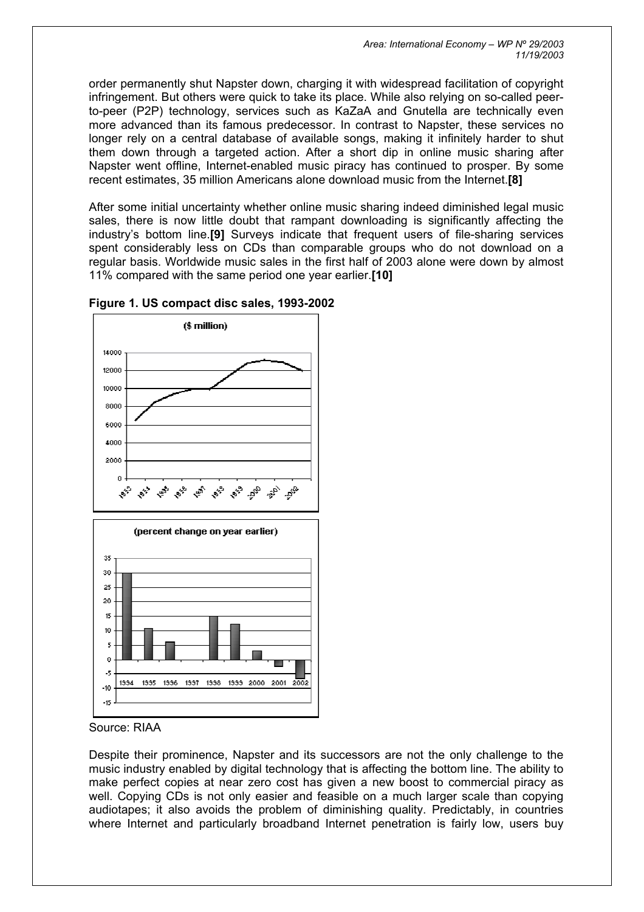order permanently shut Napster down, charging it with widespread facilitation of copyright infringement. But others were quick to take its place. While also relying on so-called peerto-peer (P2P) technology, services such as KaZaA and Gnutella are technically even more advanced than its famous predecessor. In contrast to Napster, these services no longer rely on a central database of available songs, making it infinitely harder to shut them down through a targeted action. After a short dip in online music sharing after Napster went offline, Internet-enabled music piracy has continued to prosper. By some recent estimates, 35 million Americans alone download music from the Internet.**[\[8\]](http://www.realinstitutoelcano.org/documentos/70.asp)**

After some initial uncertainty whether online music sharing indeed diminished legal music sales, there is now little doubt that rampant downloading is significantly affecting the industry's bottom line.**[\[9\]](http://www.realinstitutoelcano.org/documentos/70.asp)** Surveys indicate that frequent users of file-sharing services spent considerably less on CDs than comparable groups who do not download on a regular basis. Worldwide music sales in the first half of 2003 alone were down by almost 11% compared with the same period one year earlier.**[\[10\]](http://www.realinstitutoelcano.org/documentos/70.asp)**



## **Figure 1. US compact disc sales, 1993-2002**

Source: RIAA

Despite their prominence, Napster and its successors are not the only challenge to the music industry enabled by digital technology that is affecting the bottom line. The ability to make perfect copies at near zero cost has given a new boost to commercial piracy as well. Copying CDs is not only easier and feasible on a much larger scale than copying audiotapes; it also avoids the problem of diminishing quality. Predictably, in countries where Internet and particularly broadband Internet penetration is fairly low, users buy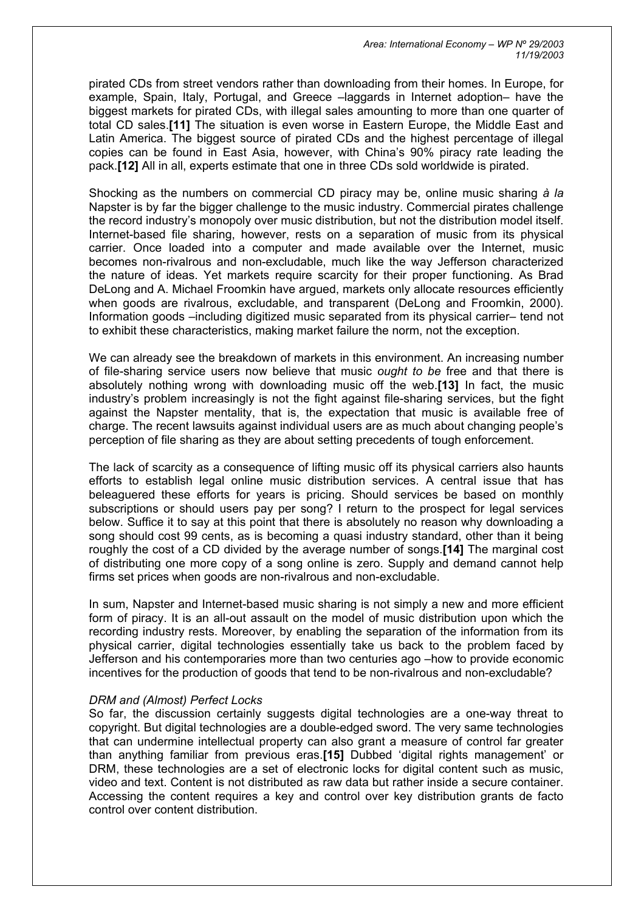pirated CDs from street vendors rather than downloading from their homes. In Europe, for example, Spain, Italy, Portugal, and Greece –laggards in Internet adoption– have the biggest markets for pirated CDs, with illegal sales amounting to more than one quarter of total CD sales.**[\[11\]](http://www.realinstitutoelcano.org/documentos/70.asp)** The situation is even worse in Eastern Europe, the Middle East and Latin America. The biggest source of pirated CDs and the highest percentage of illegal copies can be found in East Asia, however, with China's 90% piracy rate leading the pack.**[\[12\]](http://www.realinstitutoelcano.org/documentos/70.asp)** All in all, experts estimate that one in three CDs sold worldwide is pirated.

Shocking as the numbers on commercial CD piracy may be, online music sharing *à la* Napster is by far the bigger challenge to the music industry. Commercial pirates challenge the record industry's monopoly over music distribution, but not the distribution model itself. Internet-based file sharing, however, rests on a separation of music from its physical carrier. Once loaded into a computer and made available over the Internet, music becomes non-rivalrous and non-excludable, much like the way Jefferson characterized the nature of ideas. Yet markets require scarcity for their proper functioning. As Brad DeLong and A. Michael Froomkin have argued, markets only allocate resources efficiently when goods are rivalrous, excludable, and transparent (DeLong and Froomkin, 2000). Information goods –including digitized music separated from its physical carrier– tend not to exhibit these characteristics, making market failure the norm, not the exception.

We can already see the breakdown of markets in this environment. An increasing number of file-sharing service users now believe that music *ought to be* free and that there is absolutely nothing wrong with downloading music off the web.**[\[13\]](http://www.realinstitutoelcano.org/documentos/70.asp)** In fact, the music industry's problem increasingly is not the fight against file-sharing services, but the fight against the Napster mentality, that is, the expectation that music is available free of charge. The recent lawsuits against individual users are as much about changing people's perception of file sharing as they are about setting precedents of tough enforcement.

The lack of scarcity as a consequence of lifting music off its physical carriers also haunts efforts to establish legal online music distribution services. A central issue that has beleaguered these efforts for years is pricing. Should services be based on monthly subscriptions or should users pay per song? I return to the prospect for legal services below. Suffice it to say at this point that there is absolutely no reason why downloading a song should cost 99 cents, as is becoming a quasi industry standard, other than it being roughly the cost of a CD divided by the average number of songs.**[\[14\]](http://www.realinstitutoelcano.org/documentos/70.asp)** The marginal cost of distributing one more copy of a song online is zero. Supply and demand cannot help firms set prices when goods are non-rivalrous and non-excludable.

In sum, Napster and Internet-based music sharing is not simply a new and more efficient form of piracy. It is an all-out assault on the model of music distribution upon which the recording industry rests. Moreover, by enabling the separation of the information from its physical carrier, digital technologies essentially take us back to the problem faced by Jefferson and his contemporaries more than two centuries ago –how to provide economic incentives for the production of goods that tend to be non-rivalrous and non-excludable?

#### *DRM and (Almost) Perfect Locks*

So far, the discussion certainly suggests digital technologies are a one-way threat to copyright. But digital technologies are a double-edged sword. The very same technologies that can undermine intellectual property can also grant a measure of control far greater than anything familiar from previous eras.**[\[15\]](http://www.realinstitutoelcano.org/documentos/70.asp)** Dubbed 'digital rights management' or DRM, these technologies are a set of electronic locks for digital content such as music, video and text. Content is not distributed as raw data but rather inside a secure container. Accessing the content requires a key and control over key distribution grants de facto control over content distribution.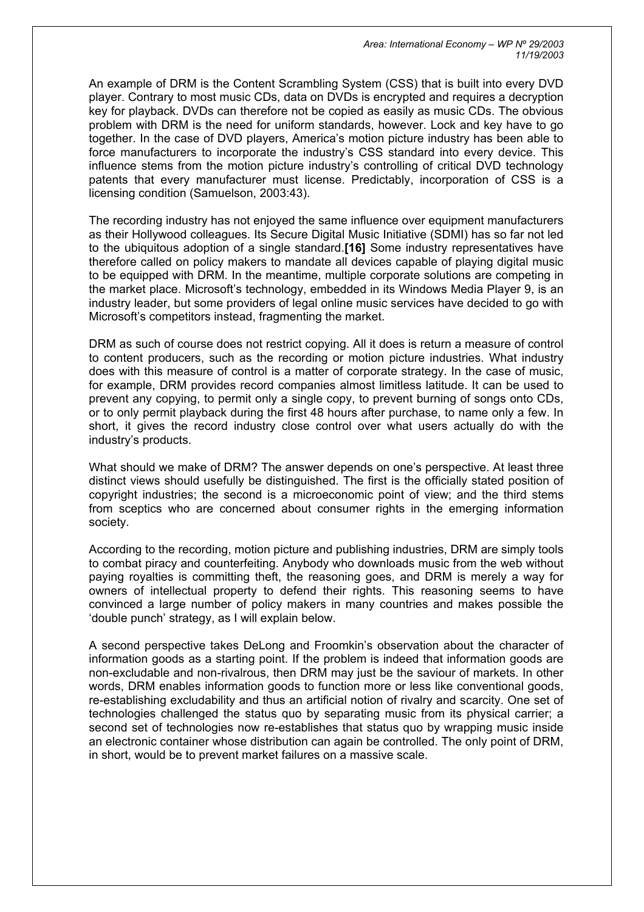An example of DRM is the Content Scrambling System (CSS) that is built into every DVD player. Contrary to most music CDs, data on DVDs is encrypted and requires a decryption key for playback. DVDs can therefore not be copied as easily as music CDs. The obvious problem with DRM is the need for uniform standards, however. Lock and key have to go together. In the case of DVD players, America's motion picture industry has been able to force manufacturers to incorporate the industry's CSS standard into every device. This influence stems from the motion picture industry's controlling of critical DVD technology patents that every manufacturer must license. Predictably, incorporation of CSS is a licensing condition (Samuelson, 2003:43).

The recording industry has not enjoyed the same influence over equipment manufacturers as their Hollywood colleagues. Its Secure Digital Music Initiative (SDMI) has so far not led to the ubiquitous adoption of a single standard.**[\[16\]](http://www.realinstitutoelcano.org/documentos/70.asp)** Some industry representatives have therefore called on policy makers to mandate all devices capable of playing digital music to be equipped with DRM. In the meantime, multiple corporate solutions are competing in the market place. Microsoft's technology, embedded in its Windows Media Player 9, is an industry leader, but some providers of legal online music services have decided to go with Microsoft's competitors instead, fragmenting the market.

DRM as such of course does not restrict copying. All it does is return a measure of control to content producers, such as the recording or motion picture industries. What industry does with this measure of control is a matter of corporate strategy. In the case of music, for example, DRM provides record companies almost limitless latitude. It can be used to prevent any copying, to permit only a single copy, to prevent burning of songs onto CDs, or to only permit playback during the first 48 hours after purchase, to name only a few. In short, it gives the record industry close control over what users actually do with the industry's products.

What should we make of DRM? The answer depends on one's perspective. At least three distinct views should usefully be distinguished. The first is the officially stated position of copyright industries; the second is a microeconomic point of view; and the third stems from sceptics who are concerned about consumer rights in the emerging information society.

According to the recording, motion picture and publishing industries, DRM are simply tools to combat piracy and counterfeiting. Anybody who downloads music from the web without paying royalties is committing theft, the reasoning goes, and DRM is merely a way for owners of intellectual property to defend their rights. This reasoning seems to have convinced a large number of policy makers in many countries and makes possible the 'double punch' strategy, as I will explain below.

A second perspective takes DeLong and Froomkin's observation about the character of information goods as a starting point. If the problem is indeed that information goods are non-excludable and non-rivalrous, then DRM may just be the saviour of markets. In other words, DRM enables information goods to function more or less like conventional goods, re-establishing excludability and thus an artificial notion of rivalry and scarcity. One set of technologies challenged the status quo by separating music from its physical carrier; a second set of technologies now re-establishes that status quo by wrapping music inside an electronic container whose distribution can again be controlled. The only point of DRM, in short, would be to prevent market failures on a massive scale.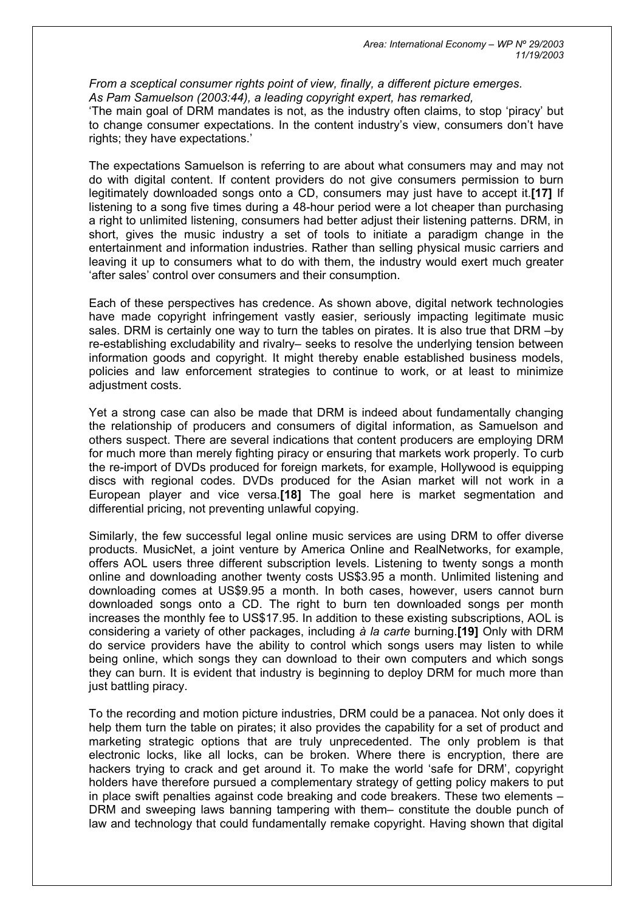*From a sceptical consumer rights point of view, finally, a different picture emerges. As Pam Samuelson (2003:44), a leading copyright expert, has remarked,* 

'The main goal of DRM mandates is not, as the industry often claims, to stop 'piracy' but to change consumer expectations. In the content industry's view, consumers don't have rights; they have expectations.'

The expectations Samuelson is referring to are about what consumers may and may not do with digital content. If content providers do not give consumers permission to burn legitimately downloaded songs onto a CD, consumers may just have to accept it.**[\[17\]](http://www.realinstitutoelcano.org/documentos/70.asp)** If listening to a song five times during a 48-hour period were a lot cheaper than purchasing a right to unlimited listening, consumers had better adjust their listening patterns. DRM, in short, gives the music industry a set of tools to initiate a paradigm change in the entertainment and information industries. Rather than selling physical music carriers and leaving it up to consumers what to do with them, the industry would exert much greater 'after sales' control over consumers and their consumption.

Each of these perspectives has credence. As shown above, digital network technologies have made copyright infringement vastly easier, seriously impacting legitimate music sales. DRM is certainly one way to turn the tables on pirates. It is also true that DRM –by re-establishing excludability and rivalry– seeks to resolve the underlying tension between information goods and copyright. It might thereby enable established business models, policies and law enforcement strategies to continue to work, or at least to minimize adjustment costs.

Yet a strong case can also be made that DRM is indeed about fundamentally changing the relationship of producers and consumers of digital information, as Samuelson and others suspect. There are several indications that content producers are employing DRM for much more than merely fighting piracy or ensuring that markets work properly. To curb the re-import of DVDs produced for foreign markets, for example, Hollywood is equipping discs with regional codes. DVDs produced for the Asian market will not work in a European player and vice versa.**[\[18\]](http://www.realinstitutoelcano.org/documentos/70.asp)** The goal here is market segmentation and differential pricing, not preventing unlawful copying.

Similarly, the few successful legal online music services are using DRM to offer diverse products. MusicNet, a joint venture by America Online and RealNetworks, for example, offers AOL users three different subscription levels. Listening to twenty songs a month online and downloading another twenty costs US\$3.95 a month. Unlimited listening and downloading comes at US\$9.95 a month. In both cases, however, users cannot burn downloaded songs onto a CD. The right to burn ten downloaded songs per month increases the monthly fee to US\$17.95. In addition to these existing subscriptions, AOL is considering a variety of other packages, including *à la carte* burning.**[\[19\]](http://www.realinstitutoelcano.org/documentos/70.asp)** Only with DRM do service providers have the ability to control which songs users may listen to while being online, which songs they can download to their own computers and which songs they can burn. It is evident that industry is beginning to deploy DRM for much more than just battling piracy.

To the recording and motion picture industries, DRM could be a panacea. Not only does it help them turn the table on pirates; it also provides the capability for a set of product and marketing strategic options that are truly unprecedented. The only problem is that electronic locks, like all locks, can be broken. Where there is encryption, there are hackers trying to crack and get around it. To make the world 'safe for DRM', copyright holders have therefore pursued a complementary strategy of getting policy makers to put in place swift penalties against code breaking and code breakers. These two elements – DRM and sweeping laws banning tampering with them– constitute the double punch of law and technology that could fundamentally remake copyright. Having shown that digital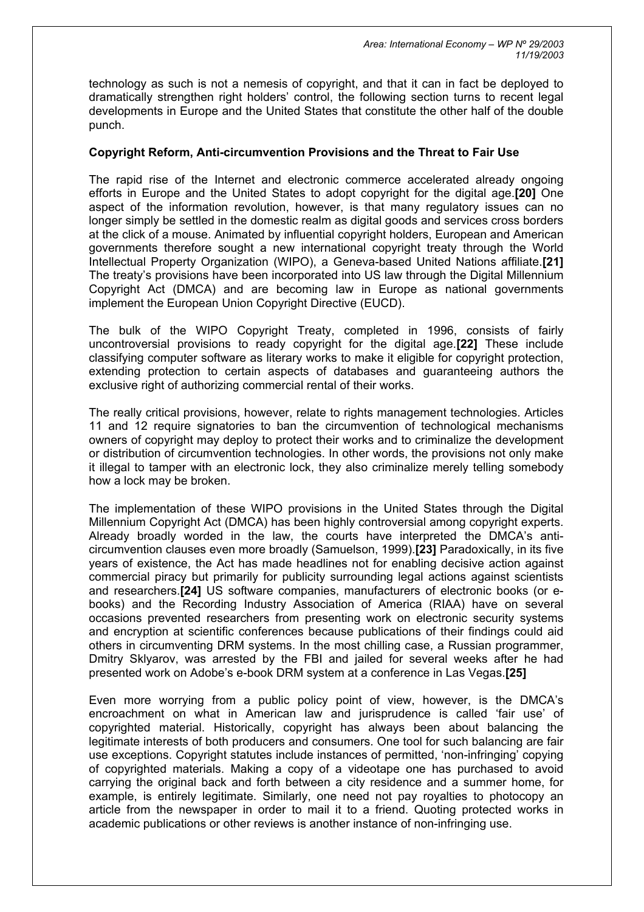technology as such is not a nemesis of copyright, and that it can in fact be deployed to dramatically strengthen right holders' control, the following section turns to recent legal developments in Europe and the United States that constitute the other half of the double punch.

## **Copyright Reform, Anti-circumvention Provisions and the Threat to Fair Use**

The rapid rise of the Internet and electronic commerce accelerated already ongoing efforts in Europe and the United States to adopt copyright for the digital age.**[\[20\]](http://www.realinstitutoelcano.org/documentos/70.asp)** One aspect of the information revolution, however, is that many regulatory issues can no longer simply be settled in the domestic realm as digital goods and services cross borders at the click of a mouse. Animated by influential copyright holders, European and American governments therefore sought a new international copyright treaty through the World Intellectual Property Organization (WIPO), a Geneva-based United Nations affiliate.**[\[21\]](http://www.realinstitutoelcano.org/documentos/70.asp)** The treaty's provisions have been incorporated into US law through the Digital Millennium Copyright Act (DMCA) and are becoming law in Europe as national governments implement the European Union Copyright Directive (EUCD).

The bulk of the WIPO Copyright Treaty, completed in 1996, consists of fairly uncontroversial provisions to ready copyright for the digital age.**[\[22\]](http://www.realinstitutoelcano.org/documentos/70.asp)** These include classifying computer software as literary works to make it eligible for copyright protection, extending protection to certain aspects of databases and guaranteeing authors the exclusive right of authorizing commercial rental of their works.

The really critical provisions, however, relate to rights management technologies. Articles 11 and 12 require signatories to ban the circumvention of technological mechanisms owners of copyright may deploy to protect their works and to criminalize the development or distribution of circumvention technologies. In other words, the provisions not only make it illegal to tamper with an electronic lock, they also criminalize merely telling somebody how a lock may be broken.

The implementation of these WIPO provisions in the United States through the Digital Millennium Copyright Act (DMCA) has been highly controversial among copyright experts. Already broadly worded in the law, the courts have interpreted the DMCA's anticircumvention clauses even more broadly (Samuelson, 1999).**[\[23\]](http://www.realinstitutoelcano.org/documentos/70.asp)** Paradoxically, in its five years of existence, the Act has made headlines not for enabling decisive action against commercial piracy but primarily for publicity surrounding legal actions against scientists and researchers.**[\[24\]](http://www.realinstitutoelcano.org/documentos/70.asp)** US software companies, manufacturers of electronic books (or ebooks) and the Recording Industry Association of America (RIAA) have on several occasions prevented researchers from presenting work on electronic security systems and encryption at scientific conferences because publications of their findings could aid others in circumventing DRM systems. In the most chilling case, a Russian programmer, Dmitry Sklyarov, was arrested by the FBI and jailed for several weeks after he had presented work on Adobe's e-book DRM system at a conference in Las Vegas.**[\[25\]](http://www.realinstitutoelcano.org/documentos/70.asp)**

Even more worrying from a public policy point of view, however, is the DMCA's encroachment on what in American law and jurisprudence is called 'fair use' of copyrighted material. Historically, copyright has always been about balancing the legitimate interests of both producers and consumers. One tool for such balancing are fair use exceptions. Copyright statutes include instances of permitted, 'non-infringing' copying of copyrighted materials. Making a copy of a videotape one has purchased to avoid carrying the original back and forth between a city residence and a summer home, for example, is entirely legitimate. Similarly, one need not pay royalties to photocopy an article from the newspaper in order to mail it to a friend. Quoting protected works in academic publications or other reviews is another instance of non-infringing use.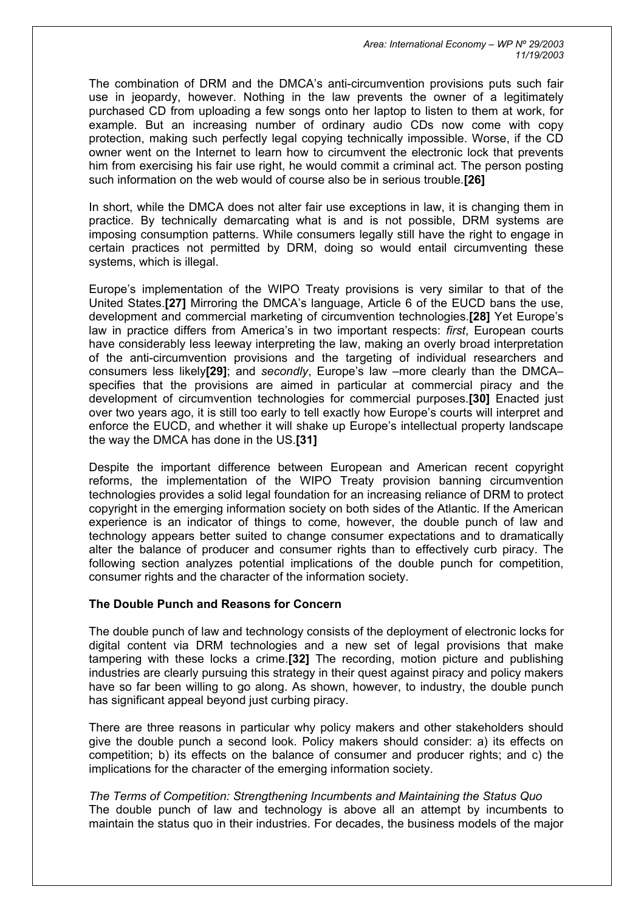*Area: International Economy – WP Nº 29/2003 11/19/2003* 

The combination of DRM and the DMCA's anti-circumvention provisions puts such fair use in jeopardy, however. Nothing in the law prevents the owner of a legitimately purchased CD from uploading a few songs onto her laptop to listen to them at work, for example. But an increasing number of ordinary audio CDs now come with copy protection, making such perfectly legal copying technically impossible. Worse, if the CD owner went on the Internet to learn how to circumvent the electronic lock that prevents him from exercising his fair use right, he would commit a criminal act. The person posting such information on the web would of course also be in serious trouble.**[\[26\]](http://www.realinstitutoelcano.org/documentos/70.asp)**

In short, while the DMCA does not alter fair use exceptions in law, it is changing them in practice. By technically demarcating what is and is not possible, DRM systems are imposing consumption patterns. While consumers legally still have the right to engage in certain practices not permitted by DRM, doing so would entail circumventing these systems, which is illegal.

Europe's implementation of the WIPO Treaty provisions is very similar to that of the United States.**[\[27\]](http://www.realinstitutoelcano.org/documentos/70.asp)** Mirroring the DMCA's language, Article 6 of the EUCD bans the use, development and commercial marketing of circumvention technologies.**[\[28\]](http://www.realinstitutoelcano.org/documentos/70.asp)** Yet Europe's law in practice differs from America's in two important respects: *first*, European courts have considerably less leeway interpreting the law, making an overly broad interpretation of the anti-circumvention provisions and the targeting of individual researchers and consumers less likely**[\[29\]](http://www.realinstitutoelcano.org/documentos/70.asp)**; and *secondly*, Europe's law –more clearly than the DMCA– specifies that the provisions are aimed in particular at commercial piracy and the development of circumvention technologies for commercial purposes.**[\[30\]](http://www.realinstitutoelcano.org/documentos/70.asp)** Enacted just over two years ago, it is still too early to tell exactly how Europe's courts will interpret and enforce the EUCD, and whether it will shake up Europe's intellectual property landscape the way the DMCA has done in the US.**[\[31\]](http://www.realinstitutoelcano.org/documentos/70.asp)**

Despite the important difference between European and American recent copyright reforms, the implementation of the WIPO Treaty provision banning circumvention technologies provides a solid legal foundation for an increasing reliance of DRM to protect copyright in the emerging information society on both sides of the Atlantic. If the American experience is an indicator of things to come, however, the double punch of law and technology appears better suited to change consumer expectations and to dramatically alter the balance of producer and consumer rights than to effectively curb piracy. The following section analyzes potential implications of the double punch for competition, consumer rights and the character of the information society.

#### **The Double Punch and Reasons for Concern**

The double punch of law and technology consists of the deployment of electronic locks for digital content via DRM technologies and a new set of legal provisions that make tampering with these locks a crime.**[\[32\]](http://www.realinstitutoelcano.org/documentos/70.asp)** The recording, motion picture and publishing industries are clearly pursuing this strategy in their quest against piracy and policy makers have so far been willing to go along. As shown, however, to industry, the double punch has significant appeal beyond just curbing piracy.

There are three reasons in particular why policy makers and other stakeholders should give the double punch a second look. Policy makers should consider: a) its effects on competition; b) its effects on the balance of consumer and producer rights; and c) the implications for the character of the emerging information society.

*The Terms of Competition: Strengthening Incumbents and Maintaining the Status Quo*  The double punch of law and technology is above all an attempt by incumbents to maintain the status quo in their industries. For decades, the business models of the major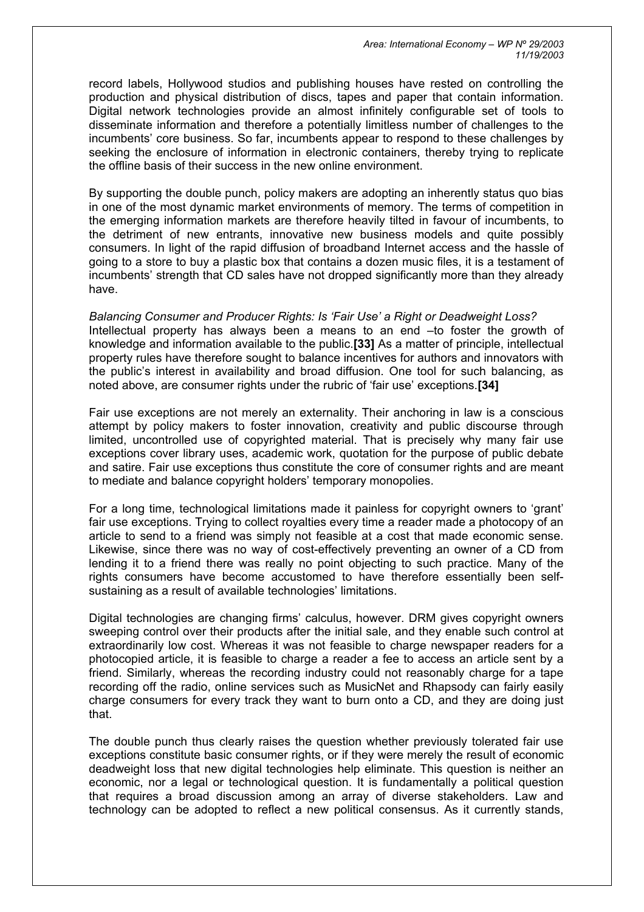record labels, Hollywood studios and publishing houses have rested on controlling the production and physical distribution of discs, tapes and paper that contain information. Digital network technologies provide an almost infinitely configurable set of tools to disseminate information and therefore a potentially limitless number of challenges to the incumbents' core business. So far, incumbents appear to respond to these challenges by seeking the enclosure of information in electronic containers, thereby trying to replicate the offline basis of their success in the new online environment.

By supporting the double punch, policy makers are adopting an inherently status quo bias in one of the most dynamic market environments of memory. The terms of competition in the emerging information markets are therefore heavily tilted in favour of incumbents, to the detriment of new entrants, innovative new business models and quite possibly consumers. In light of the rapid diffusion of broadband Internet access and the hassle of going to a store to buy a plastic box that contains a dozen music files, it is a testament of incumbents' strength that CD sales have not dropped significantly more than they already have.

*Balancing Consumer and Producer Rights: Is 'Fair Use' a Right or Deadweight Loss?*  Intellectual property has always been a means to an end –to foster the growth of knowledge and information available to the public.**[\[33\]](http://www.realinstitutoelcano.org/documentos/70.asp)** As a matter of principle, intellectual property rules have therefore sought to balance incentives for authors and innovators with the public's interest in availability and broad diffusion. One tool for such balancing, as noted above, are consumer rights under the rubric of 'fair use' exceptions.**[\[34\]](http://www.realinstitutoelcano.org/documentos/70.asp)**

Fair use exceptions are not merely an externality. Their anchoring in law is a conscious attempt by policy makers to foster innovation, creativity and public discourse through limited, uncontrolled use of copyrighted material. That is precisely why many fair use exceptions cover library uses, academic work, quotation for the purpose of public debate and satire. Fair use exceptions thus constitute the core of consumer rights and are meant to mediate and balance copyright holders' temporary monopolies.

For a long time, technological limitations made it painless for copyright owners to 'grant' fair use exceptions. Trying to collect royalties every time a reader made a photocopy of an article to send to a friend was simply not feasible at a cost that made economic sense. Likewise, since there was no way of cost-effectively preventing an owner of a CD from lending it to a friend there was really no point objecting to such practice. Many of the rights consumers have become accustomed to have therefore essentially been selfsustaining as a result of available technologies' limitations.

Digital technologies are changing firms' calculus, however. DRM gives copyright owners sweeping control over their products after the initial sale, and they enable such control at extraordinarily low cost. Whereas it was not feasible to charge newspaper readers for a photocopied article, it is feasible to charge a reader a fee to access an article sent by a friend. Similarly, whereas the recording industry could not reasonably charge for a tape recording off the radio, online services such as MusicNet and Rhapsody can fairly easily charge consumers for every track they want to burn onto a CD, and they are doing just that.

The double punch thus clearly raises the question whether previously tolerated fair use exceptions constitute basic consumer rights, or if they were merely the result of economic deadweight loss that new digital technologies help eliminate. This question is neither an economic, nor a legal or technological question. It is fundamentally a political question that requires a broad discussion among an array of diverse stakeholders. Law and technology can be adopted to reflect a new political consensus. As it currently stands,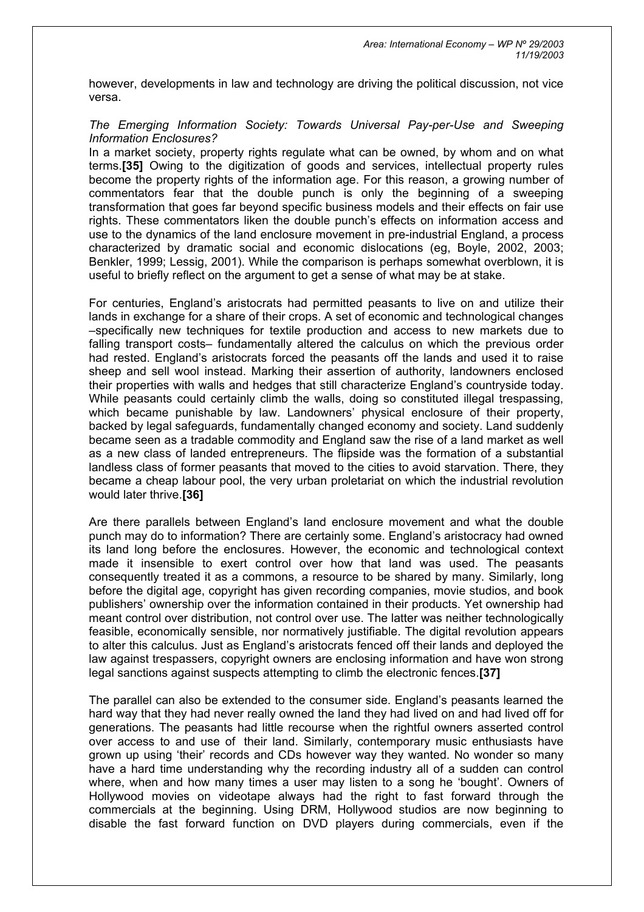however, developments in law and technology are driving the political discussion, not vice versa.

### *The Emerging Information Society: Towards Universal Pay-per-Use and Sweeping Information Enclosures?*

In a market society, property rights regulate what can be owned, by whom and on what terms.**[\[35\]](http://www.realinstitutoelcano.org/documentos/70.asp)** Owing to the digitization of goods and services, intellectual property rules become the property rights of the information age. For this reason, a growing number of commentators fear that the double punch is only the beginning of a sweeping transformation that goes far beyond specific business models and their effects on fair use rights. These commentators liken the double punch's effects on information access and use to the dynamics of the land enclosure movement in pre-industrial England, a process characterized by dramatic social and economic dislocations (eg, Boyle, 2002, 2003; Benkler, 1999; Lessig, 2001). While the comparison is perhaps somewhat overblown, it is useful to briefly reflect on the argument to get a sense of what may be at stake.

For centuries, England's aristocrats had permitted peasants to live on and utilize their lands in exchange for a share of their crops. A set of economic and technological changes –specifically new techniques for textile production and access to new markets due to falling transport costs– fundamentally altered the calculus on which the previous order had rested. England's aristocrats forced the peasants off the lands and used it to raise sheep and sell wool instead. Marking their assertion of authority, landowners enclosed their properties with walls and hedges that still characterize England's countryside today. While peasants could certainly climb the walls, doing so constituted illegal trespassing, which became punishable by law. Landowners' physical enclosure of their property, backed by legal safeguards, fundamentally changed economy and society. Land suddenly became seen as a tradable commodity and England saw the rise of a land market as well as a new class of landed entrepreneurs. The flipside was the formation of a substantial landless class of former peasants that moved to the cities to avoid starvation. There, they became a cheap labour pool, the very urban proletariat on which the industrial revolution would later thrive.**[\[36\]](http://www.realinstitutoelcano.org/documentos/70.asp)**

Are there parallels between England's land enclosure movement and what the double punch may do to information? There are certainly some. England's aristocracy had owned its land long before the enclosures. However, the economic and technological context made it insensible to exert control over how that land was used. The peasants consequently treated it as a commons, a resource to be shared by many. Similarly, long before the digital age, copyright has given recording companies, movie studios, and book publishers' ownership over the information contained in their products. Yet ownership had meant control over distribution, not control over use. The latter was neither technologically feasible, economically sensible, nor normatively justifiable. The digital revolution appears to alter this calculus. Just as England's aristocrats fenced off their lands and deployed the law against trespassers, copyright owners are enclosing information and have won strong legal sanctions against suspects attempting to climb the electronic fences.**[\[37\]](http://www.realinstitutoelcano.org/documentos/70.asp)**

The parallel can also be extended to the consumer side. England's peasants learned the hard way that they had never really owned the land they had lived on and had lived off for generations. The peasants had little recourse when the rightful owners asserted control over access to and use of their land. Similarly, contemporary music enthusiasts have grown up using 'their' records and CDs however way they wanted. No wonder so many have a hard time understanding why the recording industry all of a sudden can control where, when and how many times a user may listen to a song he 'bought'. Owners of Hollywood movies on videotape always had the right to fast forward through the commercials at the beginning. Using DRM, Hollywood studios are now beginning to disable the fast forward function on DVD players during commercials, even if the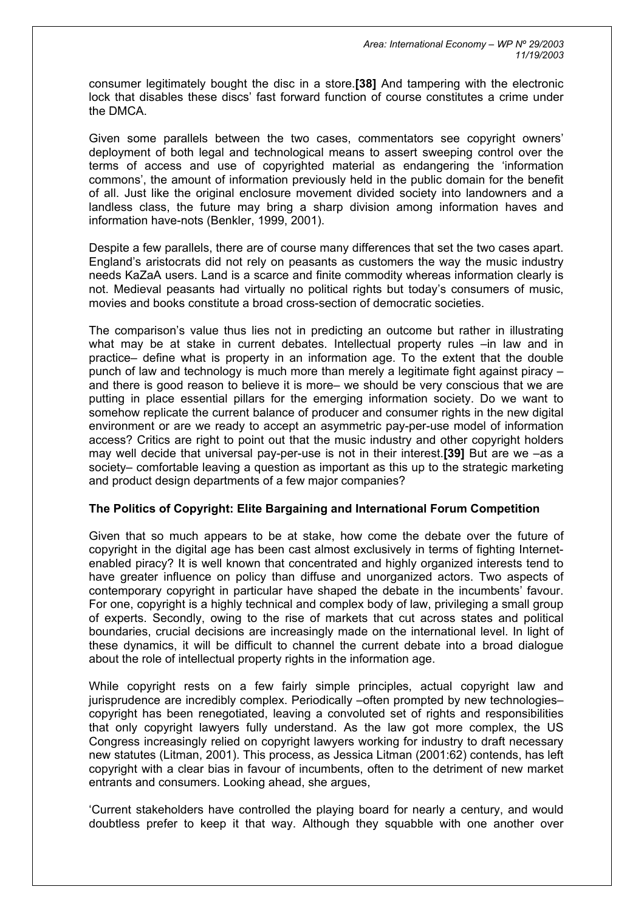consumer legitimately bought the disc in a store.**[\[38\]](http://www.realinstitutoelcano.org/documentos/70.asp)** And tampering with the electronic lock that disables these discs' fast forward function of course constitutes a crime under the DMCA.

Given some parallels between the two cases, commentators see copyright owners' deployment of both legal and technological means to assert sweeping control over the terms of access and use of copyrighted material as endangering the 'information commons', the amount of information previously held in the public domain for the benefit of all. Just like the original enclosure movement divided society into landowners and a landless class, the future may bring a sharp division among information haves and information have-nots (Benkler, 1999, 2001).

Despite a few parallels, there are of course many differences that set the two cases apart. England's aristocrats did not rely on peasants as customers the way the music industry needs KaZaA users. Land is a scarce and finite commodity whereas information clearly is not. Medieval peasants had virtually no political rights but today's consumers of music, movies and books constitute a broad cross-section of democratic societies.

The comparison's value thus lies not in predicting an outcome but rather in illustrating what may be at stake in current debates. Intellectual property rules –in law and in practice– define what is property in an information age. To the extent that the double punch of law and technology is much more than merely a legitimate fight against piracy – and there is good reason to believe it is more– we should be very conscious that we are putting in place essential pillars for the emerging information society. Do we want to somehow replicate the current balance of producer and consumer rights in the new digital environment or are we ready to accept an asymmetric pay-per-use model of information access? Critics are right to point out that the music industry and other copyright holders may well decide that universal pay-per-use is not in their interest.**[\[39\]](http://www.realinstitutoelcano.org/documentos/70.asp)** But are we –as a society– comfortable leaving a question as important as this up to the strategic marketing and product design departments of a few major companies?

## **The Politics of Copyright: Elite Bargaining and International Forum Competition**

Given that so much appears to be at stake, how come the debate over the future of copyright in the digital age has been cast almost exclusively in terms of fighting Internetenabled piracy? It is well known that concentrated and highly organized interests tend to have greater influence on policy than diffuse and unorganized actors. Two aspects of contemporary copyright in particular have shaped the debate in the incumbents' favour. For one, copyright is a highly technical and complex body of law, privileging a small group of experts. Secondly, owing to the rise of markets that cut across states and political boundaries, crucial decisions are increasingly made on the international level. In light of these dynamics, it will be difficult to channel the current debate into a broad dialogue about the role of intellectual property rights in the information age.

While copyright rests on a few fairly simple principles, actual copyright law and jurisprudence are incredibly complex. Periodically –often prompted by new technologies– copyright has been renegotiated, leaving a convoluted set of rights and responsibilities that only copyright lawyers fully understand. As the law got more complex, the US Congress increasingly relied on copyright lawyers working for industry to draft necessary new statutes (Litman, 2001). This process, as Jessica Litman (2001:62) contends, has left copyright with a clear bias in favour of incumbents, often to the detriment of new market entrants and consumers. Looking ahead, she argues,

'Current stakeholders have controlled the playing board for nearly a century, and would doubtless prefer to keep it that way. Although they squabble with one another over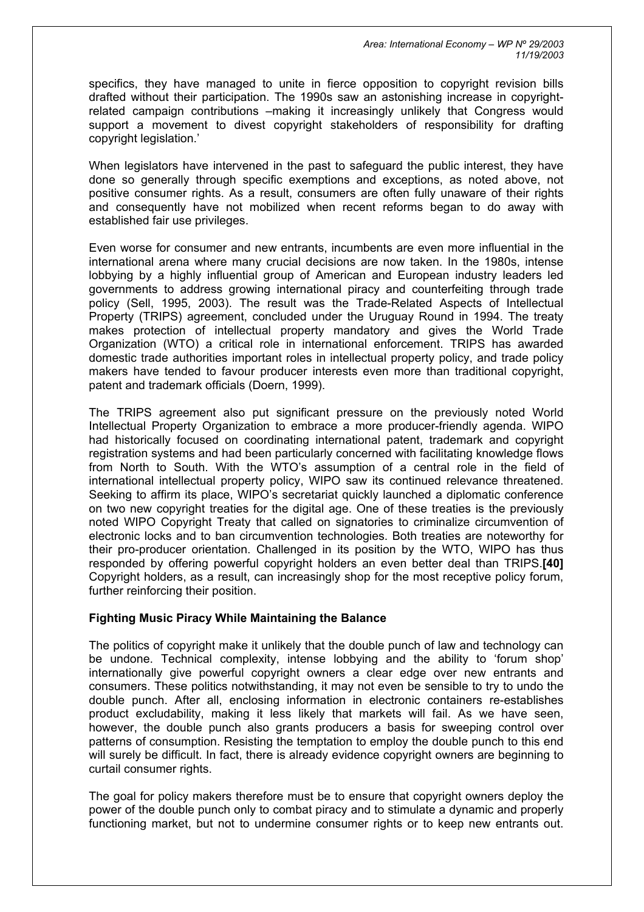*Area: International Economy – WP Nº 29/2003 11/19/2003* 

specifics, they have managed to unite in fierce opposition to copyright revision bills drafted without their participation. The 1990s saw an astonishing increase in copyrightrelated campaign contributions –making it increasingly unlikely that Congress would support a movement to divest copyright stakeholders of responsibility for drafting copyright legislation.'

When legislators have intervened in the past to safeguard the public interest, they have done so generally through specific exemptions and exceptions, as noted above, not positive consumer rights. As a result, consumers are often fully unaware of their rights and consequently have not mobilized when recent reforms began to do away with established fair use privileges.

Even worse for consumer and new entrants, incumbents are even more influential in the international arena where many crucial decisions are now taken. In the 1980s, intense lobbying by a highly influential group of American and European industry leaders led governments to address growing international piracy and counterfeiting through trade policy (Sell, 1995, 2003). The result was the Trade-Related Aspects of Intellectual Property (TRIPS) agreement, concluded under the Uruguay Round in 1994. The treaty makes protection of intellectual property mandatory and gives the World Trade Organization (WTO) a critical role in international enforcement. TRIPS has awarded domestic trade authorities important roles in intellectual property policy, and trade policy makers have tended to favour producer interests even more than traditional copyright, patent and trademark officials (Doern, 1999).

The TRIPS agreement also put significant pressure on the previously noted World Intellectual Property Organization to embrace a more producer-friendly agenda. WIPO had historically focused on coordinating international patent, trademark and copyright registration systems and had been particularly concerned with facilitating knowledge flows from North to South. With the WTO's assumption of a central role in the field of international intellectual property policy, WIPO saw its continued relevance threatened. Seeking to affirm its place, WIPO's secretariat quickly launched a diplomatic conference on two new copyright treaties for the digital age. One of these treaties is the previously noted WIPO Copyright Treaty that called on signatories to criminalize circumvention of electronic locks and to ban circumvention technologies. Both treaties are noteworthy for their pro-producer orientation. Challenged in its position by the WTO, WIPO has thus responded by offering powerful copyright holders an even better deal than TRIPS.**[\[40\]](http://www.realinstitutoelcano.org/documentos/70.asp)** Copyright holders, as a result, can increasingly shop for the most receptive policy forum, further reinforcing their position.

#### **Fighting Music Piracy While Maintaining the Balance**

The politics of copyright make it unlikely that the double punch of law and technology can be undone. Technical complexity, intense lobbying and the ability to 'forum shop' internationally give powerful copyright owners a clear edge over new entrants and consumers. These politics notwithstanding, it may not even be sensible to try to undo the double punch. After all, enclosing information in electronic containers re-establishes product excludability, making it less likely that markets will fail. As we have seen, however, the double punch also grants producers a basis for sweeping control over patterns of consumption. Resisting the temptation to employ the double punch to this end will surely be difficult. In fact, there is already evidence copyright owners are beginning to curtail consumer rights.

The goal for policy makers therefore must be to ensure that copyright owners deploy the power of the double punch only to combat piracy and to stimulate a dynamic and properly functioning market, but not to undermine consumer rights or to keep new entrants out.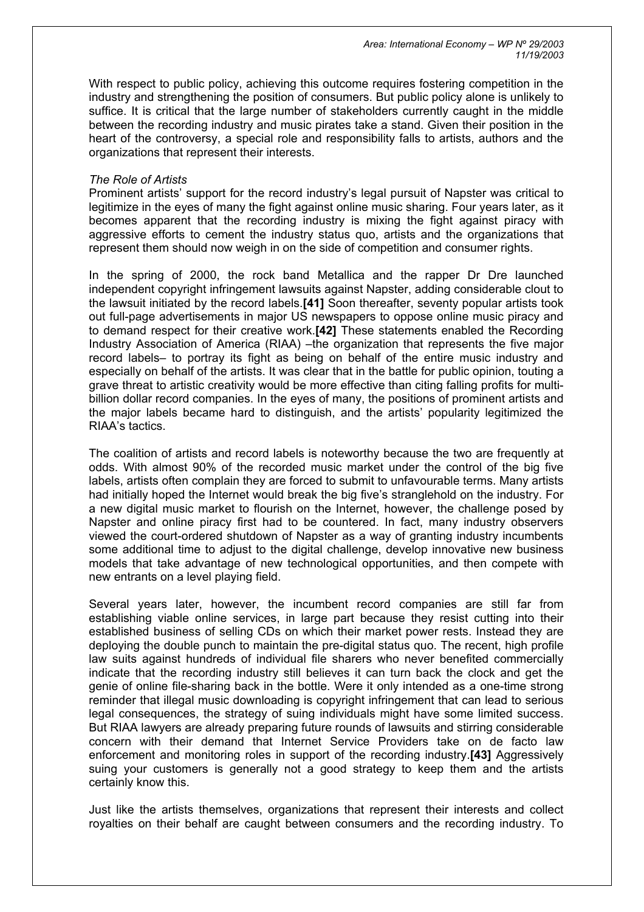With respect to public policy, achieving this outcome requires fostering competition in the industry and strengthening the position of consumers. But public policy alone is unlikely to suffice. It is critical that the large number of stakeholders currently caught in the middle between the recording industry and music pirates take a stand. Given their position in the heart of the controversy, a special role and responsibility falls to artists, authors and the organizations that represent their interests.

## *The Role of Artists*

Prominent artists' support for the record industry's legal pursuit of Napster was critical to legitimize in the eyes of many the fight against online music sharing. Four years later, as it becomes apparent that the recording industry is mixing the fight against piracy with aggressive efforts to cement the industry status quo, artists and the organizations that represent them should now weigh in on the side of competition and consumer rights.

In the spring of 2000, the rock band Metallica and the rapper Dr Dre launched independent copyright infringement lawsuits against Napster, adding considerable clout to the lawsuit initiated by the record labels.**[\[41\]](http://www.realinstitutoelcano.org/documentos/70.asp)** Soon thereafter, seventy popular artists took out full-page advertisements in major US newspapers to oppose online music piracy and to demand respect for their creative work.**[\[42\]](http://www.realinstitutoelcano.org/documentos/70.asp)** These statements enabled the Recording Industry Association of America (RIAA) –the organization that represents the five major record labels– to portray its fight as being on behalf of the entire music industry and especially on behalf of the artists. It was clear that in the battle for public opinion, touting a grave threat to artistic creativity would be more effective than citing falling profits for multibillion dollar record companies. In the eyes of many, the positions of prominent artists and the major labels became hard to distinguish, and the artists' popularity legitimized the RIAA's tactics.

The coalition of artists and record labels is noteworthy because the two are frequently at odds. With almost 90% of the recorded music market under the control of the big five labels, artists often complain they are forced to submit to unfavourable terms. Many artists had initially hoped the Internet would break the big five's stranglehold on the industry. For a new digital music market to flourish on the Internet, however, the challenge posed by Napster and online piracy first had to be countered. In fact, many industry observers viewed the court-ordered shutdown of Napster as a way of granting industry incumbents some additional time to adjust to the digital challenge, develop innovative new business models that take advantage of new technological opportunities, and then compete with new entrants on a level playing field.

Several years later, however, the incumbent record companies are still far from establishing viable online services, in large part because they resist cutting into their established business of selling CDs on which their market power rests. Instead they are deploying the double punch to maintain the pre-digital status quo. The recent, high profile law suits against hundreds of individual file sharers who never benefited commercially indicate that the recording industry still believes it can turn back the clock and get the genie of online file-sharing back in the bottle. Were it only intended as a one-time strong reminder that illegal music downloading is copyright infringement that can lead to serious legal consequences, the strategy of suing individuals might have some limited success. But RIAA lawyers are already preparing future rounds of lawsuits and stirring considerable concern with their demand that Internet Service Providers take on de facto law enforcement and monitoring roles in support of the recording industry.**[\[43\]](http://www.realinstitutoelcano.org/documentos/70.asp)** Aggressively suing your customers is generally not a good strategy to keep them and the artists certainly know this.

Just like the artists themselves, organizations that represent their interests and collect royalties on their behalf are caught between consumers and the recording industry. To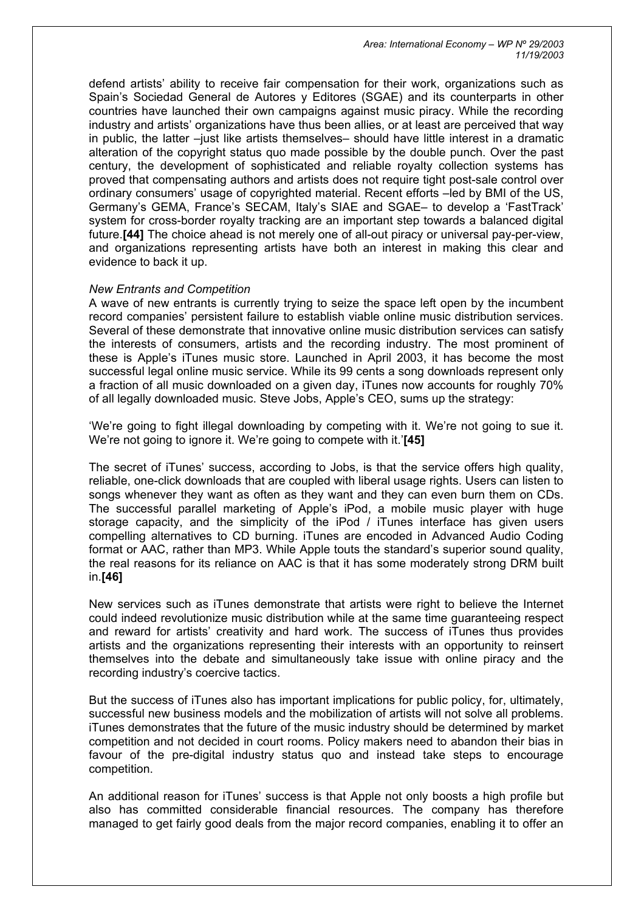defend artists' ability to receive fair compensation for their work, organizations such as Spain's Sociedad General de Autores y Editores (SGAE) and its counterparts in other countries have launched their own campaigns against music piracy. While the recording industry and artists' organizations have thus been allies, or at least are perceived that way in public, the latter –just like artists themselves– should have little interest in a dramatic alteration of the copyright status quo made possible by the double punch. Over the past century, the development of sophisticated and reliable royalty collection systems has proved that compensating authors and artists does not require tight post-sale control over ordinary consumers' usage of copyrighted material. Recent efforts –led by BMI of the US, Germany's GEMA, France's SECAM, Italy's SIAE and SGAE– to develop a 'FastTrack' system for cross-border royalty tracking are an important step towards a balanced digital future.**[\[44\]](http://www.realinstitutoelcano.org/documentos/70.asp)** The choice ahead is not merely one of all-out piracy or universal pay-per-view, and organizations representing artists have both an interest in making this clear and evidence to back it up.

### *New Entrants and Competition*

A wave of new entrants is currently trying to seize the space left open by the incumbent record companies' persistent failure to establish viable online music distribution services. Several of these demonstrate that innovative online music distribution services can satisfy the interests of consumers, artists and the recording industry. The most prominent of these is Apple's iTunes music store. Launched in April 2003, it has become the most successful legal online music service. While its 99 cents a song downloads represent only a fraction of all music downloaded on a given day, iTunes now accounts for roughly 70% of all legally downloaded music. Steve Jobs, Apple's CEO, sums up the strategy:

'We're going to fight illegal downloading by competing with it. We're not going to sue it. We're not going to ignore it. We're going to compete with it.'**[\[45\]](http://www.realinstitutoelcano.org/documentos/70.asp)**

The secret of iTunes' success, according to Jobs, is that the service offers high quality, reliable, one-click downloads that are coupled with liberal usage rights. Users can listen to songs whenever they want as often as they want and they can even burn them on CDs. The successful parallel marketing of Apple's iPod, a mobile music player with huge storage capacity, and the simplicity of the iPod / iTunes interface has given users compelling alternatives to CD burning. iTunes are encoded in Advanced Audio Coding format or AAC, rather than MP3. While Apple touts the standard's superior sound quality, the real reasons for its reliance on AAC is that it has some moderately strong DRM built in.**[\[46\]](http://www.realinstitutoelcano.org/documentos/70.asp)**

New services such as iTunes demonstrate that artists were right to believe the Internet could indeed revolutionize music distribution while at the same time guaranteeing respect and reward for artists' creativity and hard work. The success of iTunes thus provides artists and the organizations representing their interests with an opportunity to reinsert themselves into the debate and simultaneously take issue with online piracy and the recording industry's coercive tactics.

But the success of iTunes also has important implications for public policy, for, ultimately, successful new business models and the mobilization of artists will not solve all problems. iTunes demonstrates that the future of the music industry should be determined by market competition and not decided in court rooms. Policy makers need to abandon their bias in favour of the pre-digital industry status quo and instead take steps to encourage competition.

An additional reason for iTunes' success is that Apple not only boosts a high profile but also has committed considerable financial resources. The company has therefore managed to get fairly good deals from the major record companies, enabling it to offer an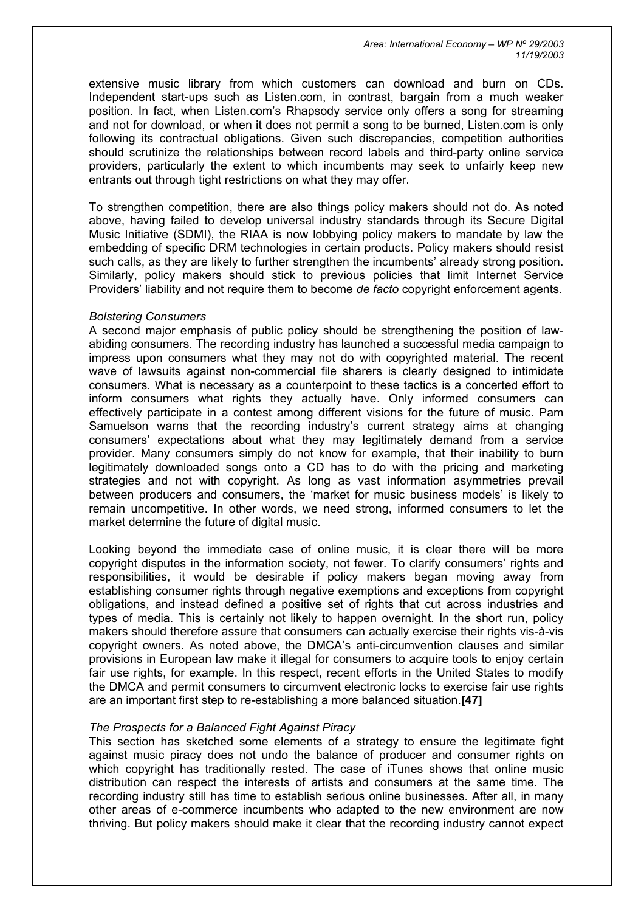*Area: International Economy – WP Nº 29/2003 11/19/2003* 

extensive music library from which customers can download and burn on CDs. Independent start-ups such as Listen.com, in contrast, bargain from a much weaker position. In fact, when Listen.com's Rhapsody service only offers a song for streaming and not for download, or when it does not permit a song to be burned, Listen.com is only following its contractual obligations. Given such discrepancies, competition authorities should scrutinize the relationships between record labels and third-party online service providers, particularly the extent to which incumbents may seek to unfairly keep new entrants out through tight restrictions on what they may offer.

To strengthen competition, there are also things policy makers should not do. As noted above, having failed to develop universal industry standards through its Secure Digital Music Initiative (SDMI), the RIAA is now lobbying policy makers to mandate by law the embedding of specific DRM technologies in certain products. Policy makers should resist such calls, as they are likely to further strengthen the incumbents' already strong position. Similarly, policy makers should stick to previous policies that limit Internet Service Providers' liability and not require them to become *de facto* copyright enforcement agents.

#### *Bolstering Consumers*

A second major emphasis of public policy should be strengthening the position of lawabiding consumers. The recording industry has launched a successful media campaign to impress upon consumers what they may not do with copyrighted material. The recent wave of lawsuits against non-commercial file sharers is clearly designed to intimidate consumers. What is necessary as a counterpoint to these tactics is a concerted effort to inform consumers what rights they actually have. Only informed consumers can effectively participate in a contest among different visions for the future of music. Pam Samuelson warns that the recording industry's current strategy aims at changing consumers' expectations about what they may legitimately demand from a service provider. Many consumers simply do not know for example, that their inability to burn legitimately downloaded songs onto a CD has to do with the pricing and marketing strategies and not with copyright. As long as vast information asymmetries prevail between producers and consumers, the 'market for music business models' is likely to remain uncompetitive. In other words, we need strong, informed consumers to let the market determine the future of digital music.

Looking beyond the immediate case of online music, it is clear there will be more copyright disputes in the information society, not fewer. To clarify consumers' rights and responsibilities, it would be desirable if policy makers began moving away from establishing consumer rights through negative exemptions and exceptions from copyright obligations, and instead defined a positive set of rights that cut across industries and types of media. This is certainly not likely to happen overnight. In the short run, policy makers should therefore assure that consumers can actually exercise their rights vis-à-vis copyright owners. As noted above, the DMCA's anti-circumvention clauses and similar provisions in European law make it illegal for consumers to acquire tools to enjoy certain fair use rights, for example. In this respect, recent efforts in the United States to modify the DMCA and permit consumers to circumvent electronic locks to exercise fair use rights are an important first step to re-establishing a more balanced situation.**[\[47\]](http://www.realinstitutoelcano.org/documentos/70.asp)**

#### *The Prospects for a Balanced Fight Against Piracy*

This section has sketched some elements of a strategy to ensure the legitimate fight against music piracy does not undo the balance of producer and consumer rights on which copyright has traditionally rested. The case of iTunes shows that online music distribution can respect the interests of artists and consumers at the same time. The recording industry still has time to establish serious online businesses. After all, in many other areas of e-commerce incumbents who adapted to the new environment are now thriving. But policy makers should make it clear that the recording industry cannot expect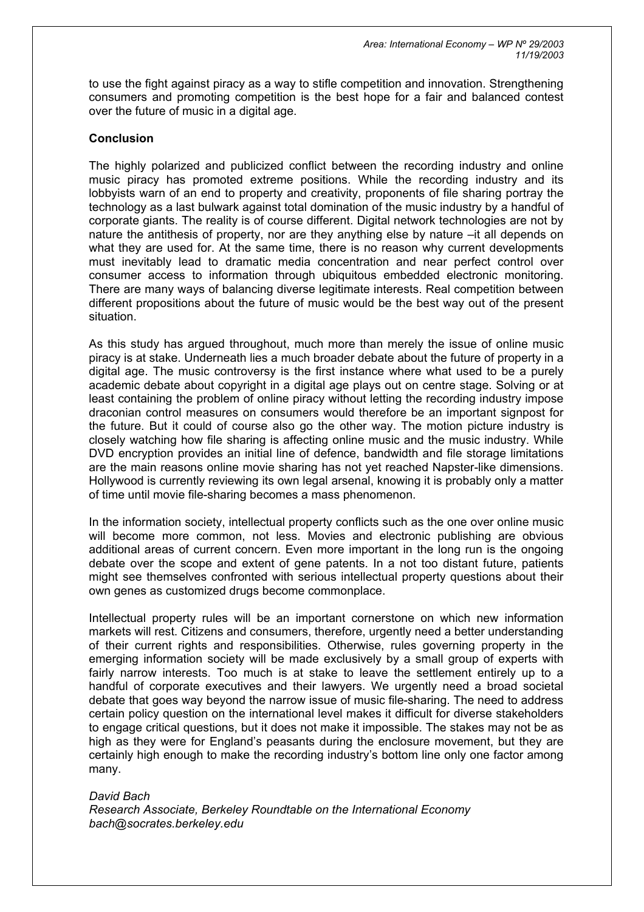to use the fight against piracy as a way to stifle competition and innovation. Strengthening consumers and promoting competition is the best hope for a fair and balanced contest over the future of music in a digital age.

## **Conclusion**

The highly polarized and publicized conflict between the recording industry and online music piracy has promoted extreme positions. While the recording industry and its lobbyists warn of an end to property and creativity, proponents of file sharing portray the technology as a last bulwark against total domination of the music industry by a handful of corporate giants. The reality is of course different. Digital network technologies are not by nature the antithesis of property, nor are they anything else by nature –it all depends on what they are used for. At the same time, there is no reason why current developments must inevitably lead to dramatic media concentration and near perfect control over consumer access to information through ubiquitous embedded electronic monitoring. There are many ways of balancing diverse legitimate interests. Real competition between different propositions about the future of music would be the best way out of the present situation.

As this study has argued throughout, much more than merely the issue of online music piracy is at stake. Underneath lies a much broader debate about the future of property in a digital age. The music controversy is the first instance where what used to be a purely academic debate about copyright in a digital age plays out on centre stage. Solving or at least containing the problem of online piracy without letting the recording industry impose draconian control measures on consumers would therefore be an important signpost for the future. But it could of course also go the other way. The motion picture industry is closely watching how file sharing is affecting online music and the music industry. While DVD encryption provides an initial line of defence, bandwidth and file storage limitations are the main reasons online movie sharing has not yet reached Napster-like dimensions. Hollywood is currently reviewing its own legal arsenal, knowing it is probably only a matter of time until movie file-sharing becomes a mass phenomenon.

In the information society, intellectual property conflicts such as the one over online music will become more common, not less. Movies and electronic publishing are obvious additional areas of current concern. Even more important in the long run is the ongoing debate over the scope and extent of gene patents. In a not too distant future, patients might see themselves confronted with serious intellectual property questions about their own genes as customized drugs become commonplace.

Intellectual property rules will be an important cornerstone on which new information markets will rest. Citizens and consumers, therefore, urgently need a better understanding of their current rights and responsibilities. Otherwise, rules governing property in the emerging information society will be made exclusively by a small group of experts with fairly narrow interests. Too much is at stake to leave the settlement entirely up to a handful of corporate executives and their lawyers. We urgently need a broad societal debate that goes way beyond the narrow issue of music file-sharing. The need to address certain policy question on the international level makes it difficult for diverse stakeholders to engage critical questions, but it does not make it impossible. The stakes may not be as high as they were for England's peasants during the enclosure movement, but they are certainly high enough to make the recording industry's bottom line only one factor among many.

*David Bach Research Associate, Berkeley Roundtable on the International Economy [bach@socrates.berkeley.edu](mailto:bach@socrates.berkeley.edu)*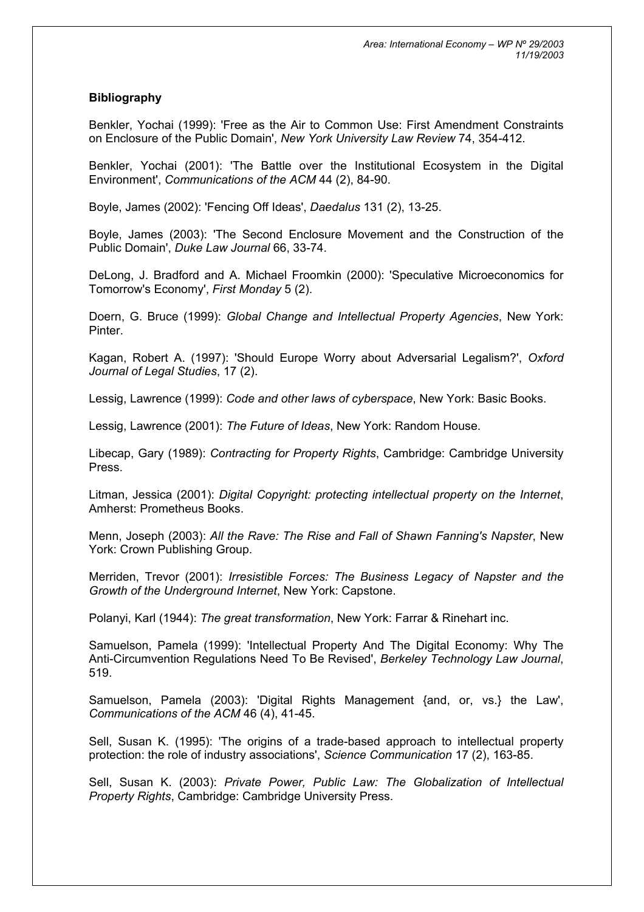## **Bibliography**

Benkler, Yochai (1999): 'Free as the Air to Common Use: First Amendment Constraints on Enclosure of the Public Domain', *New York University Law Review* 74, 354-412.

Benkler, Yochai (2001): 'The Battle over the Institutional Ecosystem in the Digital Environment', *Communications of the ACM* 44 (2), 84-90.

Boyle, James (2002): 'Fencing Off Ideas', *Daedalus* 131 (2), 13-25.

Boyle, James (2003): 'The Second Enclosure Movement and the Construction of the Public Domain', *Duke Law Journal* 66, 33-74.

DeLong, J. Bradford and A. Michael Froomkin (2000): 'Speculative Microeconomics for Tomorrow's Economy', *First Monday* 5 (2).

Doern, G. Bruce (1999): *Global Change and Intellectual Property Agencies*, New York: Pinter.

Kagan, Robert A. (1997): 'Should Europe Worry about Adversarial Legalism?', *Oxford Journal of Legal Studies*, 17 (2).

Lessig, Lawrence (1999): *Code and other laws of cyberspace*, New York: Basic Books.

Lessig, Lawrence (2001): *The Future of Ideas*, New York: Random House.

Libecap, Gary (1989): *Contracting for Property Rights*, Cambridge: Cambridge University Press.

Litman, Jessica (2001): *Digital Copyright: protecting intellectual property on the Internet*, Amherst: Prometheus Books.

Menn, Joseph (2003): *All the Rave: The Rise and Fall of Shawn Fanning's Napster*, New York: Crown Publishing Group.

Merriden, Trevor (2001): *Irresistible Forces: The Business Legacy of Napster and the Growth of the Underground Internet*, New York: Capstone.

Polanyi, Karl (1944): *The great transformation*, New York: Farrar & Rinehart inc.

Samuelson, Pamela (1999): 'Intellectual Property And The Digital Economy: Why The Anti-Circumvention Regulations Need To Be Revised', *Berkeley Technology Law Journal*, 519.

Samuelson, Pamela (2003): 'Digital Rights Management {and, or, vs.} the Law', *Communications of the ACM* 46 (4), 41-45.

Sell, Susan K. (1995): 'The origins of a trade-based approach to intellectual property protection: the role of industry associations', *Science Communication* 17 (2), 163-85.

Sell, Susan K. (2003): *Private Power, Public Law: The Globalization of Intellectual Property Rights*, Cambridge: Cambridge University Press.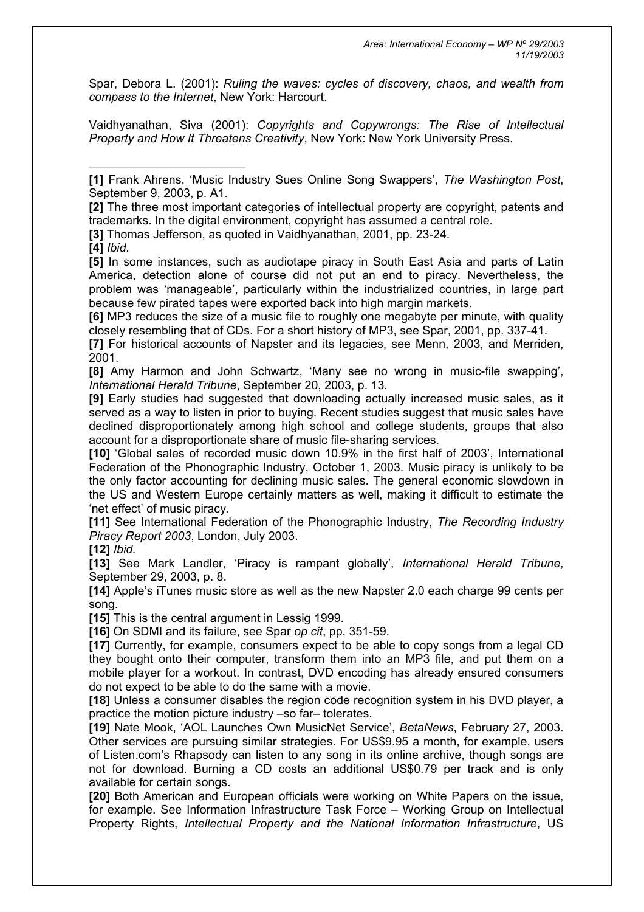Spar, Debora L. (2001): *Ruling the waves: cycles of discovery, chaos, and wealth from compass to the Internet*, New York: Harcourt.

Vaidhyanathan, Siva (2001): *Copyrights and Copywrongs: The Rise of Intellectual Property and How It Threatens Creativity*, New York: New York University Press.

**[\[2\]](http://www.realinstitutoelcano.org/documentos/70.asp)** The three most important categories of intellectual property are copyright, patents and trademarks. In the digital environment, copyright has assumed a central role.

**[\[3\]](http://www.realinstitutoelcano.org/documentos/70.asp)** Thomas Jefferson, as quoted in Vaidhyanathan, 2001, pp. 23-24.

**[\[4\]](http://www.realinstitutoelcano.org/documentos/70.asp)** *Ibid*.

**[\[5\]](http://www.realinstitutoelcano.org/documentos/70.asp)** In some instances, such as audiotape piracy in South East Asia and parts of Latin America, detection alone of course did not put an end to piracy. Nevertheless, the problem was 'manageable', particularly within the industrialized countries, in large part because few pirated tapes were exported back into high margin markets.

**[\[6\]](http://www.realinstitutoelcano.org/documentos/70.asp)** MP3 reduces the size of a music file to roughly one megabyte per minute, with quality closely resembling that of CDs. For a short history of MP3, see Spar, 2001, pp. 337-41.

**[\[7\]](http://www.realinstitutoelcano.org/documentos/70.asp)** For historical accounts of Napster and its legacies, see Menn, 2003, and Merriden, 2001.

**[\[8\]](http://www.realinstitutoelcano.org/documentos/70.asp)** Amy Harmon and John Schwartz, 'Many see no wrong in music-file swapping', *International Herald Tribune*, September 20, 2003, p. 13.

**[\[9\]](http://www.realinstitutoelcano.org/documentos/70.asp)** Early studies had suggested that downloading actually increased music sales, as it served as a way to listen in prior to buying. Recent studies suggest that music sales have declined disproportionately among high school and college students, groups that also account for a disproportionate share of music file-sharing services.

**[\[10\]](http://www.realinstitutoelcano.org/documentos/70.asp)** 'Global sales of recorded music down 10.9% in the first half of 2003', International Federation of the Phonographic Industry, October 1, 2003. Music piracy is unlikely to be the only factor accounting for declining music sales. The general economic slowdown in the US and Western Europe certainly matters as well, making it difficult to estimate the 'net effect' of music piracy.

**[\[11\]](http://www.realinstitutoelcano.org/documentos/70.asp)** See International Federation of the Phonographic Industry, *The Recording Industry Piracy Report 2003*, London, July 2003.

**[\[12\]](http://www.realinstitutoelcano.org/documentos/70.asp)** *Ibid.*

**[\[13\]](http://www.realinstitutoelcano.org/documentos/70.asp)** See Mark Landler, 'Piracy is rampant globally', *International Herald Tribune*, September 29, 2003, p. 8.

**[\[14\]](http://www.realinstitutoelcano.org/documentos/70.asp)** Apple's iTunes music store as well as the new Napster 2.0 each charge 99 cents per song.

**[\[15\]](http://www.realinstitutoelcano.org/documentos/70.asp)** This is the central argument in Lessig 1999.

**[\[16\]](http://www.realinstitutoelcano.org/documentos/70.asp)** On SDMI and its failure, see Spar *op cit*, pp. 351-59.

**[\[17\]](http://www.realinstitutoelcano.org/documentos/70.asp)** Currently, for example, consumers expect to be able to copy songs from a legal CD they bought onto their computer, transform them into an MP3 file, and put them on a mobile player for a workout. In contrast, DVD encoding has already ensured consumers do not expect to be able to do the same with a movie.

**[\[18\]](http://www.realinstitutoelcano.org/documentos/70.asp)** Unless a consumer disables the region code recognition system in his DVD player, a practice the motion picture industry –so far– tolerates.

**[\[19\]](http://www.realinstitutoelcano.org/documentos/70.asp)** Nate Mook, 'AOL Launches Own MusicNet Service', *BetaNews*, February 27, 2003. Other services are pursuing similar strategies. For US\$9.95 a month, for example, users of Listen.com's Rhapsody can listen to any song in its online archive, though songs are not for download. Burning a CD costs an additional US\$0.79 per track and is only available for certain songs.

**[\[20\]](http://www.realinstitutoelcano.org/documentos/70.asp)** Both American and European officials were working on White Papers on the issue, for example. See Information Infrastructure Task Force – Working Group on Intellectual Property Rights, *Intellectual Property and the National Information Infrastructure*, US

**[<sup>\[1\]</sup>](http://www.realinstitutoelcano.org/documentos/70.asp)** Frank Ahrens, 'Music Industry Sues Online Song Swappers', *The Washington Post*, September 9, 2003, p. A1.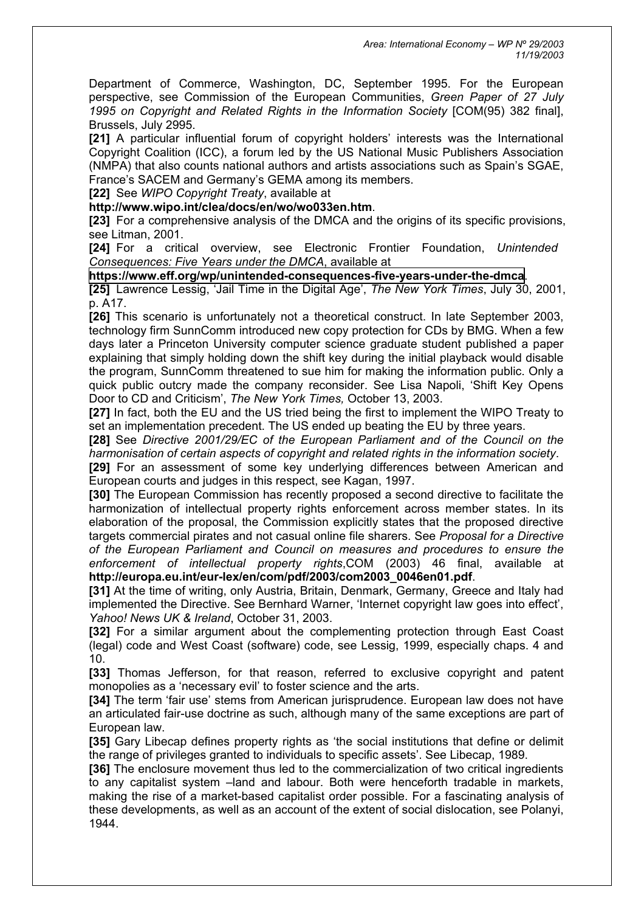Department of Commerce, Washington, DC, September 1995. For the European perspective, see Commission of the European Communities, *Green Paper of 27 July 1995 on Copyright and Related Rights in the Information Society* [COM(95) 382 final], Brussels, July 2995.

**[\[21\]](http://www.realinstitutoelcano.org/documentos/70.asp)** A particular influential forum of copyright holders' interests was the International Copyright Coalition (ICC), a forum led by the US National Music Publishers Association (NMPA) that also counts national authors and artists associations such as Spain's SGAE, France's SACEM and Germany's GEMA among its members.

**[\[22\]](http://www.realinstitutoelcano.org/documentos/70.asp)** See *WIPO Copyright Treaty*, available at

**<http://www.wipo.int/clea/docs/en/wo/wo033en.htm>**.

**[\[23\]](http://www.realinstitutoelcano.org/documentos/70.asp)** For a comprehensive analysis of the DMCA and the origins of its specific provisions, see Litman, 2001.

**[\[24\]](http://www.realinstitutoelcano.org/documentos/70.asp)** For a critical overview, see Electronic Frontier Foundation, *Unintended Consequences: Five Years under the DMCA*, available at

**<https://www.eff.org/wp/unintended-consequences-five-years-under-the-dmca>**.

**[\[25\]](http://www.realinstitutoelcano.org/documentos/70.asp)** Lawrence Lessig, 'Jail Time in the Digital Age', *The New York Times*, July 30, 2001, p. A17.

**[\[26\]](http://www.realinstitutoelcano.org/documentos/70.asp)** This scenario is unfortunately not a theoretical construct. In late September 2003, technology firm SunnComm introduced new copy protection for CDs by BMG. When a few days later a Princeton University computer science graduate student published a paper explaining that simply holding down the shift key during the initial playback would disable the program, SunnComm threatened to sue him for making the information public. Only a quick public outcry made the company reconsider. See Lisa Napoli, 'Shift Key Opens Door to CD and Criticism', *The New York Times,* October 13, 2003.

**[\[27\]](http://www.realinstitutoelcano.org/documentos/70.asp)** In fact, both the EU and the US tried being the first to implement the WIPO Treaty to set an implementation precedent. The US ended up beating the EU by three years.

**[\[28\]](http://www.realinstitutoelcano.org/documentos/70.asp)** See *Directive 2001/29/EC of the European Parliament and of the Council on the harmonisation of certain aspects of copyright and related rights in the information society*. **[\[29\]](http://www.realinstitutoelcano.org/documentos/70.asp)** For an assessment of some key underlying differences between American and European courts and judges in this respect, see Kagan, 1997.

**[\[30\]](http://www.realinstitutoelcano.org/documentos/70.asp)** The European Commission has recently proposed a second directive to facilitate the harmonization of intellectual property rights enforcement across member states. In its elaboration of the proposal, the Commission explicitly states that the proposed directive targets commercial pirates and not casual online file sharers. See *Proposal for a Directive of the European Parliament and Council on measures and procedures to ensure the enforcement of intellectual property rights*,COM (2003) 46 final, available at **[http://europa.eu.int/eur-lex/en/com/pdf/2003/com2003\\_0046en01.pdf](http://europa.eu.int/eur-lex/en/com/pdf/2003/com2003_0046en01.pdf)**.

**[\[31\]](http://www.realinstitutoelcano.org/documentos/70.asp)** At the time of writing, only Austria, Britain, Denmark, Germany, Greece and Italy had implemented the Directive. See Bernhard Warner, 'Internet copyright law goes into effect', *Yahoo! News UK & Ireland*, October 31, 2003.

**[\[32\]](http://www.realinstitutoelcano.org/documentos/70.asp)** For a similar argument about the complementing protection through East Coast (legal) code and West Coast (software) code, see Lessig, 1999, especially chaps. 4 and 10.

**[\[33\]](http://www.realinstitutoelcano.org/documentos/70.asp)** Thomas Jefferson, for that reason, referred to exclusive copyright and patent monopolies as a 'necessary evil' to foster science and the arts.

**[\[34\]](http://www.realinstitutoelcano.org/documentos/70.asp)** The term 'fair use' stems from American jurisprudence. European law does not have an articulated fair-use doctrine as such, although many of the same exceptions are part of European law.

**[\[35\]](http://www.realinstitutoelcano.org/documentos/70.asp)** Gary Libecap defines property rights as 'the social institutions that define or delimit the range of privileges granted to individuals to specific assets'. See Libecap, 1989.

**[\[36\]](http://www.realinstitutoelcano.org/documentos/70.asp)** The enclosure movement thus led to the commercialization of two critical ingredients to any capitalist system –land and labour. Both were henceforth tradable in markets, making the rise of a market-based capitalist order possible. For a fascinating analysis of these developments, as well as an account of the extent of social dislocation, see Polanyi, 1944.